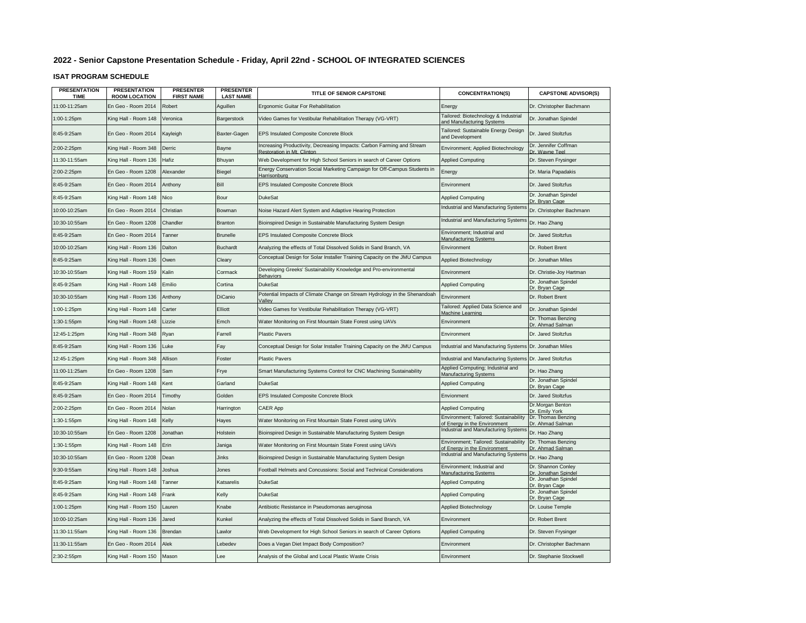## **2022 - Senior Capstone Presentation Schedule - Friday, April 22nd - SCHOOL OF INTEGRATED SCIENCES**

## **ISAT PROGRAM SCHEDULE**

| <b>PRESENTATION</b><br><b>TIME</b> | <b>PRESENTATION</b><br><b>ROOM LOCATION</b> | <b>PRESENTER</b><br><b>FIRST NAME</b> | <b>PRESENTER</b><br><b>LAST NAME</b> | TITLE OF SENIOR CAPSTONE                                                                             | <b>CONCENTRATION(S)</b>                                               | <b>CAPSTONE ADVISOR(S)</b>             |
|------------------------------------|---------------------------------------------|---------------------------------------|--------------------------------------|------------------------------------------------------------------------------------------------------|-----------------------------------------------------------------------|----------------------------------------|
| 11:00-11:25am                      | En Geo - Room 2014                          | Robert                                | Aguillen                             | Ergonomic Guitar For Rehabilitation                                                                  | Energy                                                                | Dr. Christopher Bachmann               |
| 1:00-1:25pm                        | King Hall - Room 148                        | Veronica                              | Bargerstock                          | Video Games for Vestibular Rehabilitation Therapy (VG-VRT)                                           | Tailored: Biotechnology & Industrial<br>and Manufacturing Systems     | Dr. Jonathan Spindel                   |
| 3:45-9:25am                        | En Geo - Room 2014                          | Kayleigh                              | Baxter-Gagen                         | EPS Insulated Composite Concrete Block                                                               | Tailored: Sustainable Energy Design<br>and Development                | Dr. Jared Stoltzfus                    |
| 2:00-2:25pm                        | King Hall - Room 348                        | Derric                                | Bayne                                | Increasing Productivity, Decreasing Impacts: Carbon Farming and Stream<br>Restoration in Mt. Clintor | Environment; Applied Biotechnology                                    | Dr. Jennifer Coffman<br>)r Wayne Tee   |
| 11:30-11:55am                      | King Hall - Room 136                        | Hafiz                                 | Bhuyan                               | Web Development for High School Seniors in search of Career Options                                  | <b>Applied Computing</b>                                              | Dr. Steven Frysinger                   |
| 2:00-2:25pm                        | En Geo - Room 1208                          | Alexander                             | Biegel                               | Energy Conservation Social Marketing Campaign for Off-Campus Students in<br>Harrisonburg             | Energy                                                                | Dr. Maria Papadakis                    |
| 8:45-9:25am                        | En Geo - Room 2014                          | Anthonv                               | Bill                                 | EPS Insulated Composite Concrete Block                                                               | Environment                                                           | Dr. Jared Stoltzfus                    |
| 8:45-9:25am                        | King Hall - Room 148                        | Nico                                  | Bour                                 | <b>DukeSat</b>                                                                                       | <b>Applied Computing</b>                                              | Dr. Jonathan Spindel<br>Dr. Bryan Cage |
| 10:00-10:25am                      | En Geo - Room 2014                          | Christian                             | Bowman                               | Noise Hazard Alert System and Adaptive Hearing Protection                                            | <b>Industrial and Manufacturing Systems</b>                           | Dr. Christopher Bachmann               |
| 10:30-10:55am                      | En Geo - Room 1208                          | Chandler                              | <b>Branton</b>                       | Bioinspired Design in Sustainable Manufacturing System Design                                        | <b>Industrial and Manufacturing Systems</b>                           | Dr. Hao Zhang                          |
| 8:45-9:25am                        | En Geo - Room 2014                          | Tanner                                | <b>Brunelle</b>                      | EPS Insulated Composite Concrete Block                                                               | Environment; Industrial and<br>Manufacturing Systems                  | Dr. Jared Stoltzfus                    |
| 10:00-10:25am                      | King Hall - Room 136                        | Dalton                                | <b>Buchardt</b>                      | Analyzing the effects of Total Dissolved Solids in Sand Branch, VA                                   | Environment                                                           | Dr. Robert Brent                       |
| 8:45-9:25am                        | King Hall - Room 136                        | Owen                                  | Cleary                               | Conceptual Design for Solar Installer Training Capacity on the JMU Campus                            | Applied Biotechnology                                                 | Dr. Jonathan Miles                     |
| 10:30-10:55am                      | King Hall - Room 159                        | Kalin                                 | Cormack                              | Developing Greeks' Sustainability Knowledge and Pro-environmental<br>Behaviors                       | Environment                                                           | Dr. Christie-Joy Hartman               |
| 8:45-9:25am                        | King Hall - Room 148                        | Emilio                                | Cortina                              | <b>DukeSat</b>                                                                                       | <b>Applied Computing</b>                                              | Dr. Jonathan Spindel<br>Dr. Brvan Cage |
| 10:30-10:55am                      | King Hall - Room 136                        | Anthony                               | <b>DiCanio</b>                       | Potential Impacts of Climate Change on Stream Hydrology in the Shenandoah<br>/alley                  | Environment                                                           | Dr. Robert Brent                       |
| 1:00-1:25pm                        | King Hall - Room 148                        | Carter                                | Elliott                              | Video Games for Vestibular Rehabilitation Therapy (VG-VRT)                                           | Tailored: Applied Data Science and<br>Machine Learning                | Dr. Jonathan Spindel                   |
| 1:30-1:55pm                        | King Hall - Room 148                        | lizzie                                | Emch                                 | Water Monitoring on First Mountain State Forest using UAVs                                           | Environment                                                           | Dr. Thomas Benzing<br>Dr. Ahmad Salman |
| 12:45-1:25pm                       | King Hall - Room 348                        | Rvan                                  | Farrell                              | <b>Plastic Pavers</b>                                                                                | Environment                                                           | Dr. Jared Stoltzfus                    |
| 8:45-9:25am                        | King Hall - Room 136                        | .uke                                  | Fay                                  | Conceptual Design for Solar Installer Training Capacity on the JMU Campus                            | Industrial and Manufacturing Systems Dr. Jonathan Miles               |                                        |
| 12:45-1:25pm                       | King Hall - Room 348                        | Allison                               | Foster                               | <b>Plastic Pavers</b>                                                                                | ndustrial and Manufacturing Systems Dr. Jared Stoltzfus               |                                        |
| 11:00-11:25am                      | En Geo - Room 1208                          | Sam                                   | Frye                                 | Smart Manufacturing Systems Control for CNC Machining Sustainability                                 | Applied Computing; Industrial and<br><b>Manufacturing Systems</b>     | Dr. Hao Zhang                          |
| 8:45-9:25am                        | King Hall - Room 148                        | Kent                                  | Garland                              | <b>DukeSat</b>                                                                                       | <b>Applied Computing</b>                                              | Dr. Jonathan Spindel<br>Dr. Bryan Cage |
| 8:45-9:25am                        | En Geo - Room 2014                          | Timothy                               | Golden                               | EPS Insulated Composite Concrete Block                                                               | Envionment                                                            | Dr. Jared Stoltzfus                    |
| 2:00-2:25pm                        | En Geo - Room 2014                          | Nolan                                 | Harrington                           | <b>CAER App</b>                                                                                      | <b>Applied Computing</b>                                              | Dr.Morgan Benton<br>Dr. Emily York     |
| 1:30-1:55pm                        | King Hall - Room 148                        | Kelly                                 | Hayes                                | Water Monitoring on First Mountain State Forest using UAVs                                           | Environment; Tailored: Sustainability<br>of Energy in the Environment | Dr. Thomas Benzing<br>Dr. Ahmad Salman |
| 10:30-10:55am                      | En Geo - Room 1208                          | Jonathan                              | Holstein                             | Bioinspired Design in Sustainable Manufacturing System Design                                        | Industrial and Manufacturing Systems                                  | Dr. Hao Zhang                          |
| 1:30-1:55pm                        | King Hall - Room 148                        | Erin                                  | Janiga                               | Water Monitoring on First Mountain State Forest using UAVs                                           | Environment; Tailored: Sustainability<br>of Energy in the Environment | Dr. Thomas Benzing<br>Dr. Ahmad Salman |
| 10:30-10:55am                      | En Geo - Room 1208                          | Dean                                  | Jinks                                | Bioinspired Design in Sustainable Manufacturing System Design                                        | Industrial and Manufacturing Systems                                  | Dr. Hao Zhang                          |
| 9:30-9:55am                        | King Hall - Room 148                        | Joshua                                | Jones                                | Football Helmets and Concussions: Social and Technical Considerations                                | Environment; Industrial and<br><b>Manufacturing Systems</b>           | Dr. Shannon Conley<br>Jonathan Spindel |
| 8:45-9:25am                        | King Hall - Room 148                        | Tanner                                | Katsarelis                           | <b>DukeSat</b>                                                                                       | <b>Applied Computing</b>                                              | Dr. Jonathan Spindel<br>Dr. Bryan Cage |
| 8:45-9:25am                        | King Hall - Room 148                        | Frank                                 | Kelly                                | <b>DukeSat</b>                                                                                       | <b>Applied Computing</b>                                              | Dr. Jonathan Spindel<br>Dr. Bryan Cage |
| 1:00-1:25pm                        | King Hall - Room 150                        | Lauren                                | Knabe                                | Antibiotic Resistance in Pseudomonas aeruginosa                                                      | Applied Biotechnology                                                 | Dr. Louise Temple                      |
| 10:00-10:25am                      | King Hall - Room 136                        | <b>Jared</b>                          | <b>Kunkel</b>                        | Analyzing the effects of Total Dissolved Solids in Sand Branch, VA                                   | Environment                                                           | Dr. Robert Brent                       |
| 11:30-11:55am                      | King Hall - Room 136                        | Brendan                               | Lawlor                               | Web Development for High School Seniors in search of Career Options                                  | Applied Computing                                                     | Dr. Steven Frysinger                   |
| 11:30-11:55am                      | En Geo - Room 2014                          | Alek                                  | Lebedev                              | Does a Vegan Diet Impact Body Composition?                                                           | Environment                                                           | Dr. Christopher Bachmann               |
| 2:30-2:55pm                        | King Hall - Room 150                        | Mason                                 | Lee                                  | Analysis of the Global and Local Plastic Waste Crisis                                                | Environment                                                           | Dr. Stephanie Stockwell                |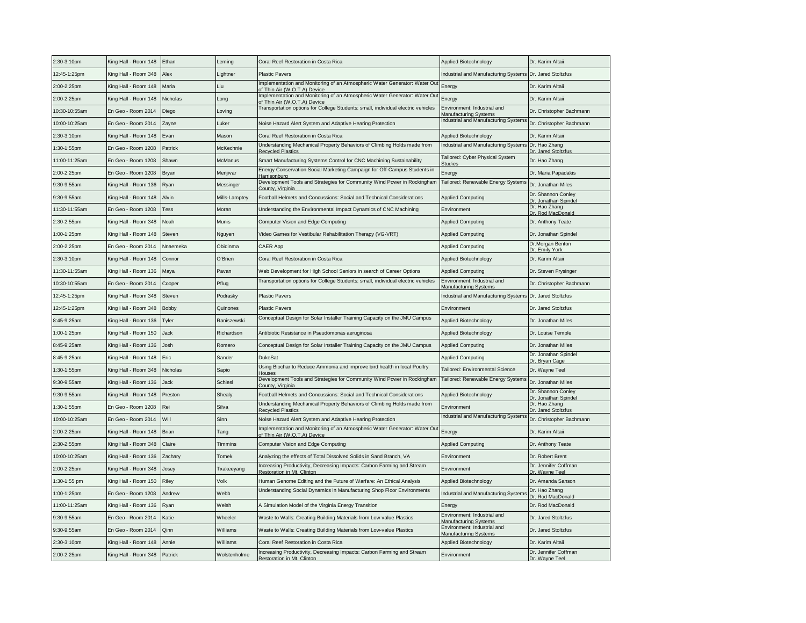| 2:30-3:10pm   | King Hall - Room 148 | Ethan        | Leming        | Coral Reef Restoration in Costa Rica                                                                       | Applied Biotechnology                                         | Dr. Karim Altaii                           |
|---------------|----------------------|--------------|---------------|------------------------------------------------------------------------------------------------------------|---------------------------------------------------------------|--------------------------------------------|
| 12:45-1:25pm  | King Hall - Room 348 | Alex         | Lightner      | <b>Plastic Pavers</b>                                                                                      | Industrial and Manufacturing Systems Dr. Jared Stoltzfus      |                                            |
| 2:00-2:25pm   | King Hall - Room 148 | Maria        | Liu           | Implementation and Monitoring of an Atmospheric Water Generator: Water Out<br>of Thin Air (W.O.T.A) Device | Energy                                                        | Dr. Karim Altaii                           |
| 2:00-2:25pm   | King Hall - Room 148 | Nicholas     | Long          | Implementation and Monitoring of an Atmospheric Water Generator: Water Out<br>f Thin Air (W.O.T.A) Device  | Energy                                                        | Dr. Karim Altaii                           |
| 10:30-10:55am | En Geo - Room 2014   | Diego        | Loving        | Transportation options for College Students: small, individual electric vehicles                           | Environment: Industrial and<br>Manufacturing Systems          | Dr. Christopher Bachmann                   |
| 10:00-10:25am | En Geo - Room 2014   | Zayne        | Luker         | Noise Hazard Alert System and Adaptive Hearing Protection                                                  | Industrial and Manufacturing Systems                          | Dr. Christopher Bachmann                   |
| 2:30-3:10pm   | King Hall - Room 148 | Evan         | Mason         | Coral Reef Restoration in Costa Rica                                                                       | Applied Biotechnology                                         | Dr. Karim Altaii                           |
| 1:30-1:55pm   | En Geo - Room 1208   | Patrick      | McKechnie     | Understanding Mechanical Property Behaviors of Climbing Holds made from<br><b>Recvcled Plastic</b>         | Industrial and Manufacturing Systems <sup>Dr.</sup> Hao Zhang | Dr. Jared Stoltzfus                        |
| 11:00-11:25am | En Geo - Room 1208   | Shawn        | McManus       | Smart Manufacturing Systems Control for CNC Machining Sustainability                                       | Tailored: Cyber Physical System<br>Studies                    | Dr. Hao Zhang                              |
| 2:00-2:25pm   | En Geo - Room 1208   | Brvan        | Meniivar      | Energy Conservation Social Marketing Campaign for Off-Campus Students in                                   | Energy                                                        | Dr. Maria Papadakis                        |
| 9:30-9:55am   | King Hall - Room 136 | Ryan         | Messinger     | Development Tools and Strategies for Community Wind Power in Rockingham<br>County, Virginia                | Tailored: Renewable Energy Systems                            | Dr. Jonathan Miles                         |
| 9:30-9:55am   | King Hall - Room 148 | Alvin        | Mills-Lamptey | Football Helmets and Concussions: Social and Technical Considerations                                      | <b>Applied Computing</b>                                      | Dr. Shannon Conley<br>Dr. Jonathan Spindel |
| 11:30-11:55am | En Geo - Room 1208   | Tess         | Moran         | Understanding the Environmental Impact Dynamics of CNC Machining                                           | Environment                                                   | Dr. Hao Zhang<br>Dr. Rod MacDonald         |
| 2:30-2:55pm   | King Hall - Room 348 | Noah         | Munis         | Computer Vision and Edge Computing                                                                         | <b>Applied Computing</b>                                      | Dr. Anthony Teate                          |
| 1:00-1:25pm   | King Hall - Room 148 | Steven       | Nguyen        | Video Games for Vestibular Rehabilitation Therapy (VG-VRT)                                                 | <b>Applied Computing</b>                                      | Dr. Jonathan Spindel                       |
| 2:00-2:25pm   | En Geo - Room 2014   | Nnaemeka     | Obidinma      | <b>CAER App</b>                                                                                            | <b>Applied Computing</b>                                      | Dr.Morgan Benton<br>Dr. Emily York         |
| 2:30-3:10pm   | King Hall - Room 148 | Connor       | O'Brien       | Coral Reef Restoration in Costa Rica                                                                       | Applied Biotechnology                                         | Dr. Karim Altaii                           |
| 11:30-11:55am | King Hall - Room 136 | Maya         | Pavan         | Web Development for High School Seniors in search of Career Options                                        | <b>Applied Computing</b>                                      | Dr. Steven Frysinger                       |
| 10:30-10:55am | En Geo - Room 2014   | Cooper       | Pflug         | Transportation options for College Students: small, individual electric vehicles                           | Environment; Industrial and<br>Manufacturing System:          | Dr. Christopher Bachmann                   |
| 12:45-1:25pm  | King Hall - Room 348 | Steven       | Podrasky      | <b>Plastic Pavers</b>                                                                                      | Industrial and Manufacturing Systems Dr. Jared Stoltzfus      |                                            |
| 12:45-1:25pm  | King Hall - Room 348 | Bobby        | Quinones      | <b>Plastic Pavers</b>                                                                                      | Environment                                                   | Dr. Jared Stoltzfus                        |
| 8:45-9:25am   | King Hall - Room 136 | Tyler        | Raniszewski   | Conceptual Design for Solar Installer Training Capacity on the JMU Campus                                  | Applied Biotechnology                                         | Dr. Jonathan Miles                         |
| 1:00-1:25pm   | King Hall - Room 150 | Jack         | Richardson    | Antibiotic Resistance in Pseudomonas aeruginosa                                                            | Applied Biotechnology                                         | Dr. Louise Temple                          |
| 8:45-9:25am   | King Hall - Room 136 | Josh         | Romero        | Conceptual Design for Solar Installer Training Capacity on the JMU Campus                                  | <b>Applied Computing</b>                                      | Dr. Jonathan Miles                         |
| 8:45-9:25am   | King Hall - Room 148 | Eric         | Sander        | <b>DukeSat</b>                                                                                             | <b>Applied Computing</b>                                      | Dr. Jonathan Spindel<br>Dr. Brvan Cag      |
| 1:30-1:55pm   | King Hall - Room 348 | Nicholas     | Sapio         | Using Biochar to Reduce Ammonia and improve bird health in local Poultry<br>Houses                         | Tailored: Environmental Science                               | Dr. Wayne Teel                             |
| 9:30-9:55am   | King Hall - Room 136 | Jack         | Schiesl       | Development Tools and Strategies for Community Wind Power in Rockingham<br>County, Virginia                | Tailored: Renewable Energy Systems                            | Dr. Jonathan Miles                         |
| 9:30-9:55am   | King Hall - Room 148 | Preston      | Shealy        | Football Helmets and Concussions: Social and Technical Considerations                                      | <b>Applied Biotechnology</b>                                  | Dr. Shannon Conley<br>Dr. Jonathan Spindel |
| 1:30-1:55pm   | En Geo - Room 1208   | Rei          | Silva         | Understanding Mechanical Property Behaviors of Climbing Holds made from<br><b>Recycled Plastics</b>        | Environment                                                   | Dr. Hao Zhang<br>Dr. Jared Stoltzfus       |
| 10:00-10:25am | En Geo - Room 2014   | Will         | Sinn          | Noise Hazard Alert System and Adaptive Hearing Protection                                                  | Industrial and Manufacturing Systems                          | Dr. Christopher Bachmann                   |
| 2:00-2:25pm   | King Hall - Room 148 | <b>Brian</b> | Tang          | Implementation and Monitoring of an Atmospheric Water Generator: Water Out<br>of Thin Air (W.O.T.A) Device | Energy                                                        | Dr. Karim Altaii                           |
| 2:30-2:55pm   | King Hall - Room 348 | Claire       | Timmins       | Computer Vision and Edge Computing                                                                         | <b>Applied Computing</b>                                      | Dr. Anthony Teate                          |
| 10:00-10:25am | King Hall - Room 136 | Zachary      | Tomek         | Analyzing the effects of Total Dissolved Solids in Sand Branch, VA                                         | Environment                                                   | Dr. Robert Brent                           |
| 2:00-2:25pm   | King Hall - Room 348 | Josey        | Txakeeyang    | Increasing Productivity, Decreasing Impacts: Carbon Farming and Stream<br>Restoration in Mt. Clinton       | Environment                                                   | Dr. Jennifer Coffman<br>Dr. Wavne Tee      |
| 1:30-1:55 pm  | King Hall - Room 150 | Riley        | Volk          | Human Genome Editing and the Future of Warfare: An Ethical Analysis<br><b>Applied Biotechnology</b>        |                                                               | Dr. Amanda Sanson                          |
| 1:00-1:25pm   | En Geo - Room 1208   | Andrew       | Webb          | Understanding Social Dynamics in Manufacturing Shop Floor Environments                                     | <b>Industrial and Manufacturing Systems</b>                   | Dr. Hao Zhang<br>Dr. Rod MacDonald         |
| 11:00-11:25am | King Hall - Room 136 | Ryan         | Welsh         | A Simulation Model of the Virginia Energy Transition                                                       | Energy                                                        | Dr. Rod MacDonald                          |
| 9:30-9:55am   | En Geo - Room 2014   | Katie        | Wheeler       | Waste to Walls: Creating Building Materials from Low-value Plastics                                        | Environment; Industrial and<br>Manufacturing Systems          | Dr. Jared Stoltzfus                        |
| 9:30-9:55am   | En Geo - Room 2014   | Qinn         | Williams      | Waste to Walls: Creating Building Materials from Low-value Plastics                                        | Environment: Industrial and<br>Manufacturing Svstems          | Dr. Jared Stoltzfus                        |
| 2:30-3:10pm   | King Hall - Room 148 | Annie        | Williams      | Coral Reef Restoration in Costa Rica                                                                       | Applied Biotechnology                                         | Dr. Karim Altaii                           |
| 2:00-2:25pm   | King Hall - Room 348 | Patrick      | Wolstenholme  | Increasing Productivity, Decreasing Impacts: Carbon Farming and Stream<br>Restoration in Mt. Clinton       | Environment                                                   | Dr. Jennifer Coffman<br>Dr. Wayne Teel     |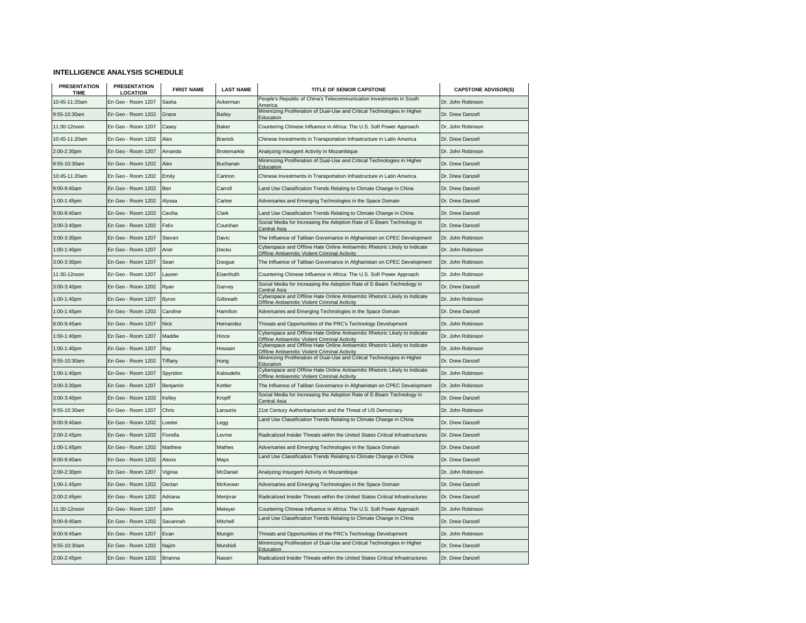## **INTELLIGENCE ANALYSIS SCHEDULE**

| <b>PRESENTATION</b><br><b>TIME</b> | <b>PRESENTATION</b><br><b>LOCATION</b> | <b>FIRST NAME</b> | <b>LAST NAME</b>   | TITLE OF SENIOR CAPSTONE                                                                                                    | <b>CAPSTONE ADVISOR(S)</b> |
|------------------------------------|----------------------------------------|-------------------|--------------------|-----------------------------------------------------------------------------------------------------------------------------|----------------------------|
| 10:45-11:20am                      | En Geo - Room 1207                     | Sasha             | Ackerman           | People's Republic of China's Telecommunication Investments in South<br>America                                              | Dr. John Robinson          |
| 9:55-10:30am                       | En Geo - Room 1202                     | Grace             | Bailey             | Minimizing Proliferation of Dual-Use and Critical Technologies in Higher<br>Education                                       | Dr. Drew Danzell           |
| 11:30-12noon                       | En Geo - Room 1207                     | Casey             | Baker              | Countering Chinese Influence in Africa: The U.S. Soft Power Approach                                                        | Dr. John Robinson          |
| 10:45-11:20am                      | En Geo - Room 1202                     | Alex              | <b>Branick</b>     | Chinese Investments in Transportation Infrastructure in Latin America                                                       | Dr. Drew Danzell           |
| 2:00-2:30pm                        | En Geo - Room 1207                     | Amanda            | <b>Brotemarkle</b> | Analyzing Insurgent Activity in Mozambique                                                                                  | Dr. John Robinson          |
| 9:55-10:30am                       | En Geo - Room 1202                     | Alex              | Buchanan           | Minimizing Proliferation of Dual-Use and Critical Technologies in Higher<br>Education                                       | Dr. Drew Danzell           |
| 10:45-11:20am                      | En Geo - Room 1202                     | Emily             | Cannon             | Chinese Investments in Transportation Infrastructure in Latin America                                                       | Dr. Drew Danzell           |
| 9:00-9:40am                        | En Geo - Room 1202                     | Ben               | Carroll            | Land Use Classification Trends Relating to Climate Change in China                                                          | Dr. Drew Danzell           |
| 1:00-1:45pm                        | En Geo - Room 1202                     | Alyssa            | Cartee             | Adversaries and Emerging Technologies in the Space Domain                                                                   | Dr. Drew Danzell           |
| 9:00-9:40am                        | En Geo - Room 1202                     | Cecilia           | Clark              | Land Use Classification Trends Relating to Climate Change in China                                                          | Dr. Drew Danzell           |
| 3:00-3:40pm                        | En Geo - Room 1202                     | Felix             | Counihan           | Social Media for Increasing the Adoption Rate of E-Beam Technology in<br>Central Asia                                       | Dr. Drew Danzell           |
| 3:00-3:30pm                        | En Geo - Room 1207                     | Steven            | Davic              | The Influence of Taliban Governance in Afghanistan on CPEC Development                                                      | Dr. John Robinson          |
| 1:00-1:40pm                        | En Geo - Room 1207                     | Ariel             | Decko              | Cyberspace and Offline Hate Online Antisemitic Rhetoric Likely to Indicate<br>Offline Antisemitic Violent Criminal Activity | Dr. John Robinson          |
| 3:00-3:30pm                        | En Geo - Room 1207                     | Sean              | Doogue             | The Influence of Taliban Governance in Afghanistan on CPEC Development                                                      | Dr. John Robinson          |
| 11:30-12noon                       | En Geo - Room 1207                     | Lauren            | Eisenhuth          | Countering Chinese Influence in Africa: The U.S. Soft Power Approach                                                        | Dr. John Robinson          |
| 3:00-3:40pm                        | En Geo - Room 1202                     | Ryan              | Garvey             | Social Media for Increasing the Adoption Rate of E-Beam Technology in<br>Central Asia                                       | Dr. Drew Danzell           |
| 1:00-1:40pm                        | En Geo - Room 1207                     | Byron             | Gilbreath          | Cyberspace and Offline Hate Online Antisemitic Rhetoric Likely to Indicate<br>Offline Antisemitic Violent Criminal Activity | Dr. John Robinson          |
| 1:00-1:45pm                        | En Geo - Room 1202                     | Caroline          | Hamilton           | Adversaries and Emerging Technologies in the Space Domain                                                                   | Dr. Drew Danzell           |
| 9:00-9:45am                        | En Geo - Room 1207                     | <b>Nick</b>       | Hernandez          | Threats and Opportunities of the PRC's Technology Development                                                               | Dr. John Robinson          |
| 1:00-1:40pm                        | En Geo - Room 1207                     | Maddie            | Hince              | Cyberspace and Offline Hate Online Antisemitic Rhetoric Likely to Indicate<br>Offline Antisemitic Violent Criminal Activity | Dr. John Robinson          |
| 1:00-1:40pm                        | En Geo - Room 1207                     | Ray               | Hossain            | Cyberspace and Offline Hate Online Antisemitic Rhetoric Likely to Indicate<br>Offline Antisemitic Violent Criminal Activity | Dr. John Robinson          |
| 9:55-10:30am                       | En Geo - Room 1202                     | Tiffany           | Hung               | Minimizing Proliferation of Dual-Use and Critical Technologies in Higher<br>Education                                       | Dr. Drew Danzell           |
| 1:00-1:40pm                        | En Geo - Room 1207                     | Spyridon          | Kaloudelis         | Cyberspace and Offline Hate Online Antisemitic Rhetoric Likely to Indicate<br>Offline Antisemitic Violent Criminal Activity | Dr. John Robinson          |
| 3:00-3:30pm                        | En Geo - Room 1207                     | Benjamin          | Kettler            | The Influence of Taliban Governance in Afghanistan on CPEC Development                                                      | Dr. John Robinson          |
| 3:00-3:40pm                        | En Geo - Room 1202                     | Kelley            | Kropff             | Social Media for Increasing the Adoption Rate of E-Beam Technology in<br>Central Asia                                       | Dr. Drew Danzell           |
| 9:55-10:30am                       | En Geo - Room 1207                     | Chris             | Larounis           | 21st Century Authoritarianism and the Threat of US Democracy                                                                | Dr. John Robinson          |
| 9:00-9:40am                        | En Geo - Room 1202                     | Lorelei           | Legg               | Land Use Classification Trends Relating to Climate Change in China                                                          | Dr. Drew Danzell           |
| 2:00-2:45pm                        | En Geo - Room 1202                     | Fiorella          | Levine             | Radicalized Insider Threats within the United States Critical Infrastructures                                               | Dr. Drew Danzell           |
| 1:00-1:45pm                        | En Geo - Room 1202                     | Matthew           | Mathes             | Adversaries and Emerging Technologies in the Space Domain                                                                   | Dr. Drew Danzell           |
| 9:00-9:40am                        | En Geo - Room 1202                     | Alexis            | Mays               | Land Use Classification Trends Relating to Climate Change in China                                                          | Dr. Drew Danzell           |
| 2:00-2:30pm                        | En Geo - Room 1207                     | Viginia           | McDaniel           | Analyzing Insurgent Activity in Mozambique                                                                                  | Dr. John Robinson          |
| 1:00-1:45pm                        | En Geo - Room 1202                     | Declan            | McKeowr            | Adversaries and Emerging Technologies in the Space Domain                                                                   | Dr. Drew Danzell           |
| 2:00-2:45pm                        | En Geo - Room 1202                     | Adriana           | Menjivar           | Radicalized Insider Threats within the United States Critical Infrastructures                                               | Dr. Drew Danzell           |
| 11:30-12noon                       | En Geo - Room 1207                     | John              | Meteyer            | Countering Chinese Influence in Africa: The U.S. Soft Power Approach                                                        | Dr. John Robinson          |
| 9:00-9:40am                        | En Geo - Room 1202                     | Savannah          | Mitchell           | Land Use Classification Trends Relating to Climate Change in China                                                          | Dr. Drew Danzell           |
| 9:00-9:45am                        | En Geo - Room 1207                     | Evan              | Mungin             | Threats and Opportunities of the PRC's Technology Development                                                               | Dr. John Robinson          |
| 9:55-10:30am                       | En Geo - Room 1202                     | Najim             | Murshidi           | Minimizing Proliferation of Dual-Use and Critical Technologies in Higher<br>Education                                       | Dr. Drew Danzell           |
| 2:00-2:45pm                        | En Geo - Room 1202                     | <b>Brianna</b>    | Nassiri            | Radicalized Insider Threats within the United States Critical Infrastructures                                               | Dr. Drew Danzell           |